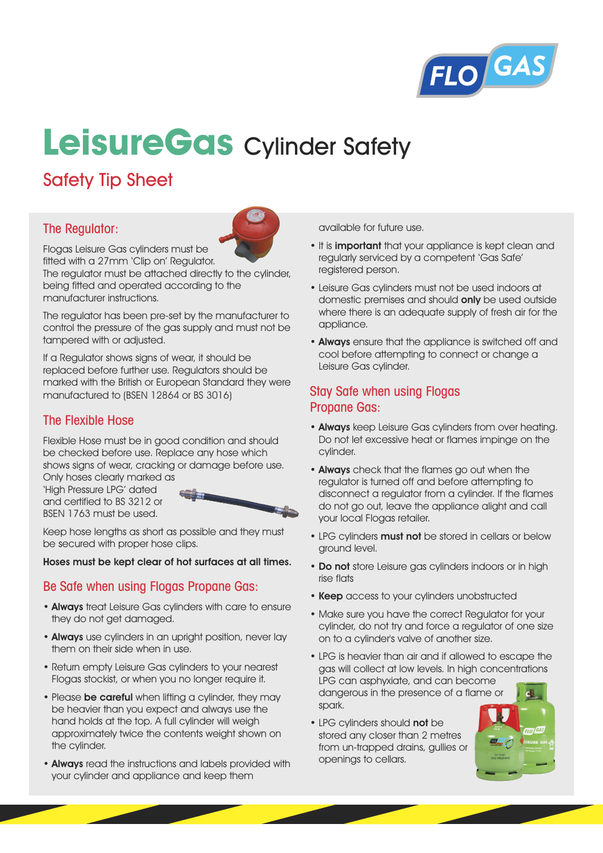

# **LeisureGas** Cylinder Safety

# Safety Tip Sheet

# The Regulator:



Flogas Leisure Gas cylinders must be fitted with a 27mm 'Clip on' Regulator.

The regulator must be attached directly to the cylinder, being fitted and operated according to the manufacturer instructions.

The regulator has been pre-set by the manufacturer to control the pressure of the gas supply and must not be tampered with or adjusted.

If a Regulator shows signs of wear, it should be replaced before further use. Regulators should be marked with the British or European Standard they were manufactured to (BSEN 12864 or BS 3016)

## The Flexible Hose

Flexible Hose must be in good condition and should be checked before use. Replace any hose which shows signs of wear, cracking or damage before use. Only hoses clearly marked as

'High Pressure LPG' dated and certified to BS 3212 or BSEN 1763 must be used.



Keep hose lengths as short as possible and they must be secured with proper hose clips.

#### **Hoses must be kept clear of hot surfaces at all times.**

### Be Safe when using Flogas Propane Gas:

- **Always** treat Leisure Gas cylinders with care to ensure they do not get damaged.
- **Always** use cylinders in an upright position, never lay them on their side when in use.
- Return empty Leisure Gas cylinders to your nearest Flogas stockist, or when you no longer require it.
- Please **be careful** when lifting a cylinder, they may be heavier than you expect and always use the hand holds at the top. A full cylinder will weigh approximately twice the contents weight shown on the cylinder.
- **Always** read the instructions and labels provided with your cylinder and appliance and keep them

available for future use.

- It is **important** that your appliance is kept clean and regularly serviced by a competent 'Gas Safe' registered person.
- Leisure Gas cylinders must not be used indoors at domestic premises and should **only** be used outside where there is an adequate supply of fresh air for the appliance.
- **Always** ensure that the appliance is switched off and cool before attempting to connect or change a Leisure Gas cylinder.

# Stay Safe when using Flogas Propane Gas:

- **Always** keep Leisure Gas cylinders from over heating. Do not let excessive heat or flames impinge on the cylinder.
- **Always** check that the flames go out when the regulator is turned off and before attempting to disconnect a regulator from a cylinder. If the flames do not go out, leave the appliance alight and call your local Flogas retailer.
- LPG cylinders **must not** be stored in cellars or below ground level.
- **Do not** store Leisure gas cylinders indoors or in high rise flats
- **Keep** access to your cylinders unobstructed
- Make sure you have the correct Regulator for your cylinder, do not try and force a regulator of one size on to a cylinder's valve of another size.
- LPG is heavier than air and if allowed to escape the gas will collect at low levels. In high concentrations LPG can asphyxiate, and can become dangerous in the presence of a flame or spark.
- LPG cylinders should **not** be stored any closer than 2 metres from un-trapped drains, gullies or openings to cellars.